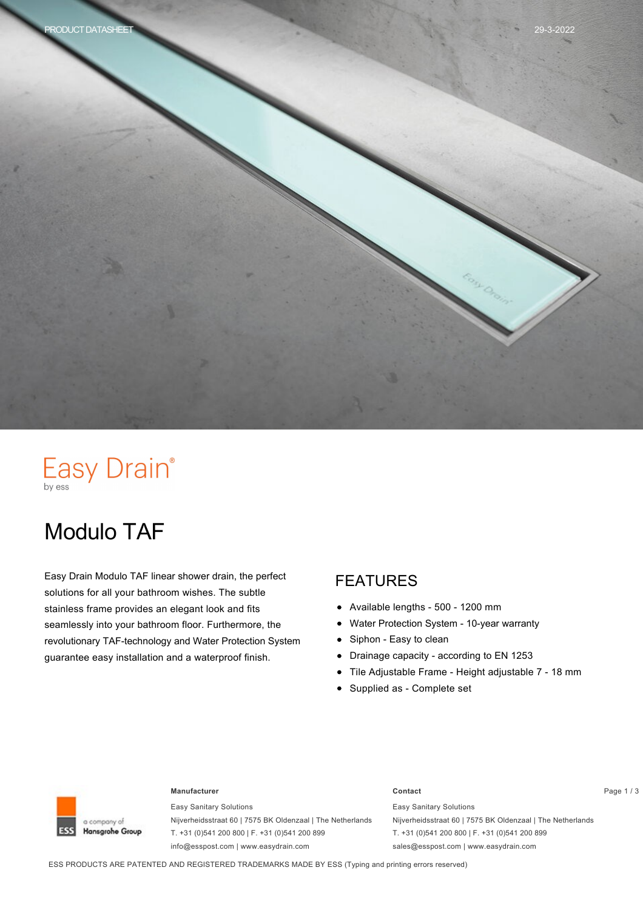

# Easy Drain®

# Modulo TAF

Easy Drain Modulo TAF linear shower drain, the perfect solutions for all your bathroom wishes. The subtle stainless frame provides an elegant look and fits seamlessly into your bathroom floor. Furthermore, the revolutionary TAF-technology and Water Protection System guarantee easy installation and a waterproof finish.

#### FEATURES

- Available lengths 500 1200 mm  $\bullet$
- Water Protection System 10-year warranty
- Siphon Easy to clean  $\bullet$
- Drainage capacity according to EN 1253  $\bullet$
- Tile Adjustable Frame Height adjustable 7 18 mm
- Supplied as Complete set



#### **Manufacturer Contact** Page 1 / 3

Easy Sanitary Solutions Nijverheidsstraat 60 | 7575 BK Oldenzaal | The Netherlands T. +31 (0)541 200 800 | F. +31 (0)541 200 899 info@esspost.com | www.easydrain.com

Easy Sanitary Solutions Nijverheidsstraat 60 | 7575 BK Oldenzaal | The Netherlands T. +31 (0)541 200 800 | F. +31 (0)541 200 899 sales@esspost.com | www.easydrain.com

ESS PRODUCTS ARE PATENTED AND REGISTERED TRADEMARKS MADE BY ESS (Typing and printing errors reserved)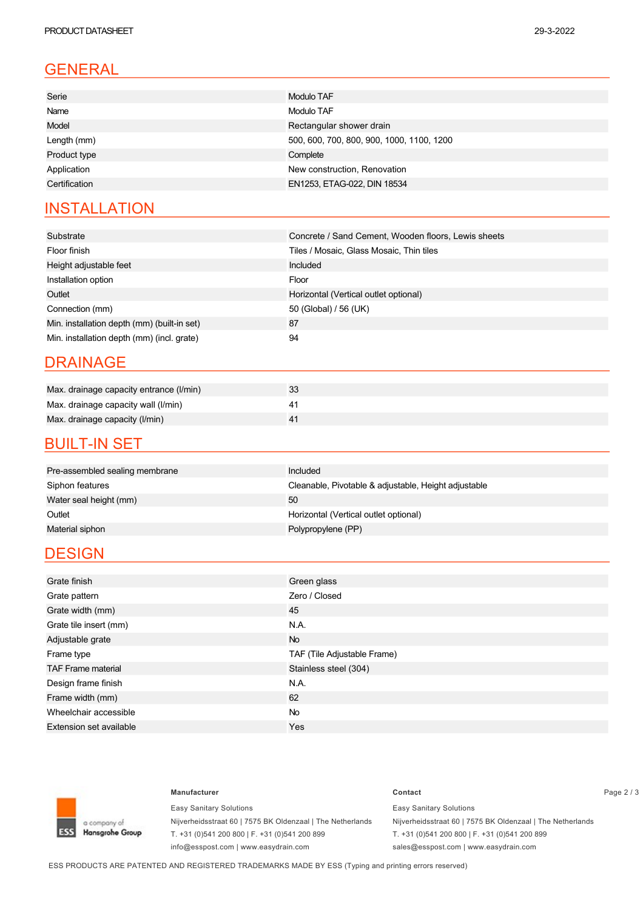#### GENERAL

| Serie         | Modulo TAF                                |
|---------------|-------------------------------------------|
| Name          | Modulo TAF                                |
| Model         | Rectangular shower drain                  |
| Length (mm)   | 500, 600, 700, 800, 900, 1000, 1100, 1200 |
| Product type  | Complete                                  |
| Application   | New construction, Renovation              |
| Certification | EN1253, ETAG-022, DIN 18534               |
|               |                                           |

#### **INSTALLATION**

| Substrate                                   | Concrete / Sand Cement, Wooden floors, Lewis sheets |
|---------------------------------------------|-----------------------------------------------------|
| Floor finish                                | Tiles / Mosaic, Glass Mosaic, Thin tiles            |
| Height adjustable feet                      | Included                                            |
| Installation option                         | Floor                                               |
| Outlet                                      | Horizontal (Vertical outlet optional)               |
| Connection (mm)                             | 50 (Global) / 56 (UK)                               |
| Min. installation depth (mm) (built-in set) | 87                                                  |
| Min. installation depth (mm) (incl. grate)  | 94                                                  |

#### DRAINAGE

| Max. drainage capacity entrance (I/min) | 33 |
|-----------------------------------------|----|
| Max. drainage capacity wall (I/min)     |    |
| Max. drainage capacity (I/min)          |    |

#### **BUILT-IN SET**

| Pre-assembled sealing membrane | Included                                             |
|--------------------------------|------------------------------------------------------|
| Siphon features                | Cleanable, Pivotable & adjustable, Height adjustable |
| Water seal height (mm)         | 50                                                   |
| Outlet                         | Horizontal (Vertical outlet optional)                |
| Material siphon                | Polypropylene (PP)                                   |
|                                |                                                      |

#### **DESIGN**

| Grate finish                   | Green glass                 |
|--------------------------------|-----------------------------|
| Grate pattern                  | Zero / Closed               |
| Grate width (mm)               | 45                          |
| Grate tile insert (mm)         | N.A.                        |
| Adjustable grate               | <b>No</b>                   |
| Frame type                     | TAF (Tile Adjustable Frame) |
| <b>TAF Frame material</b>      | Stainless steel (304)       |
| Design frame finish            | N.A.                        |
| Frame width (mm)               | 62                          |
| Wheelchair accessible          | <b>No</b>                   |
| <b>Extension set available</b> | Yes                         |



Easy Sanitary Solutions Nijverheidsstraat 60 | 7575 BK Oldenzaal | The Netherlands T. +31 (0)541 200 800 | F. +31 (0)541 200 899 info@esspost.com | www.easydrain.com

## **Manufacturer Contact** Page 2 / 3

Easy Sanitary Solutions Nijverheidsstraat 60 | 7575 BK Oldenzaal | The Netherlands T. +31 (0)541 200 800 | F. +31 (0)541 200 899 sales@esspost.com | www.easydrain.com

ESS PRODUCTS ARE PATENTED AND REGISTERED TRADEMARKS MADE BY ESS (Typing and printing errors reserved)